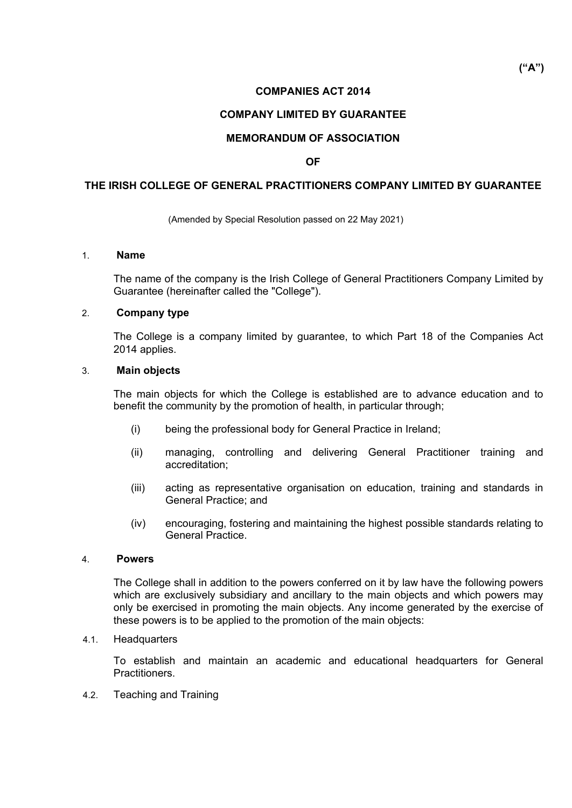## **COMPANIES ACT 2014**

## **COMPANY LIMITED BY GUARANTEE**

### **MEMORANDUM OF ASSOCIATION**

### **OF**

### **THE IRISH COLLEGE OF GENERAL PRACTITIONERS COMPANY LIMITED BY GUARANTEE**

(Amended by Special Resolution passed on 22 May 2021)

### 1. **Name**

The name of the company is the Irish College of General Practitioners Company Limited by Guarantee (hereinafter called the "College").

### 2. **Company type**

The College is a company limited by guarantee, to which Part 18 of the Companies Act 2014 applies.

### 3. **Main objects**

The main objects for which the College is established are to advance education and to benefit the community by the promotion of health, in particular through;

- (i) being the professional body for General Practice in Ireland;
- (ii) managing, controlling and delivering General Practitioner training and accreditation;
- (iii) acting as representative organisation on education, training and standards in General Practice; and
- (iv) encouraging, fostering and maintaining the highest possible standards relating to General Practice.

#### 4. **Powers**

The College shall in addition to the powers conferred on it by law have the following powers which are exclusively subsidiary and ancillary to the main objects and which powers may only be exercised in promoting the main objects. Any income generated by the exercise of these powers is to be applied to the promotion of the main objects:

### 4.1. Headquarters

To establish and maintain an academic and educational headquarters for General Practitioners.

4.2. Teaching and Training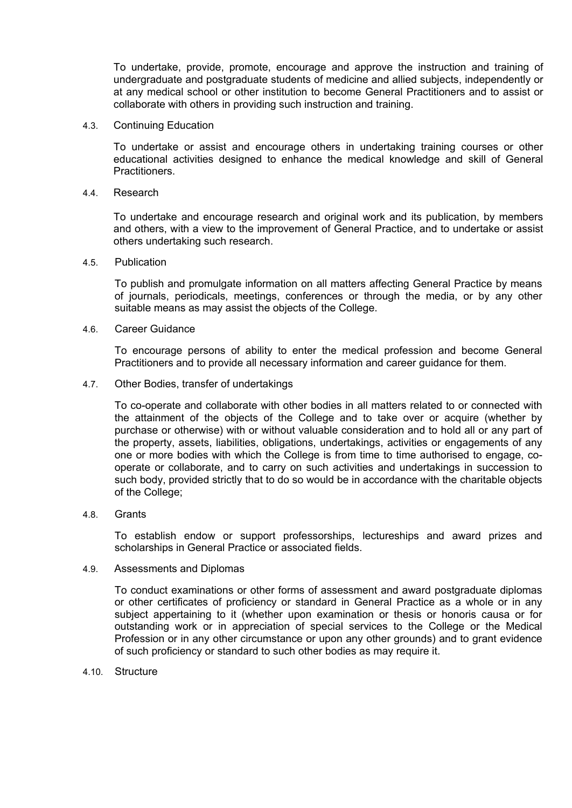To undertake, provide, promote, encourage and approve the instruction and training of undergraduate and postgraduate students of medicine and allied subjects, independently or at any medical school or other institution to become General Practitioners and to assist or collaborate with others in providing such instruction and training.

4.3. Continuing Education

To undertake or assist and encourage others in undertaking training courses or other educational activities designed to enhance the medical knowledge and skill of General **Practitioners** 

4.4. Research

To undertake and encourage research and original work and its publication, by members and others, with a view to the improvement of General Practice, and to undertake or assist others undertaking such research.

4.5. Publication

To publish and promulgate information on all matters affecting General Practice by means of journals, periodicals, meetings, conferences or through the media, or by any other suitable means as may assist the objects of the College.

4.6. Career Guidance

To encourage persons of ability to enter the medical profession and become General Practitioners and to provide all necessary information and career guidance for them.

4.7. Other Bodies, transfer of undertakings

To co-operate and collaborate with other bodies in all matters related to or connected with the attainment of the objects of the College and to take over or acquire (whether by purchase or otherwise) with or without valuable consideration and to hold all or any part of the property, assets, liabilities, obligations, undertakings, activities or engagements of any one or more bodies with which the College is from time to time authorised to engage, cooperate or collaborate, and to carry on such activities and undertakings in succession to such body, provided strictly that to do so would be in accordance with the charitable objects of the College;

4.8. Grants

To establish endow or support professorships, lectureships and award prizes and scholarships in General Practice or associated fields.

4.9. Assessments and Diplomas

To conduct examinations or other forms of assessment and award postgraduate diplomas or other certificates of proficiency or standard in General Practice as a whole or in any subject appertaining to it (whether upon examination or thesis or honoris causa or for outstanding work or in appreciation of special services to the College or the Medical Profession or in any other circumstance or upon any other grounds) and to grant evidence of such proficiency or standard to such other bodies as may require it.

4.10. Structure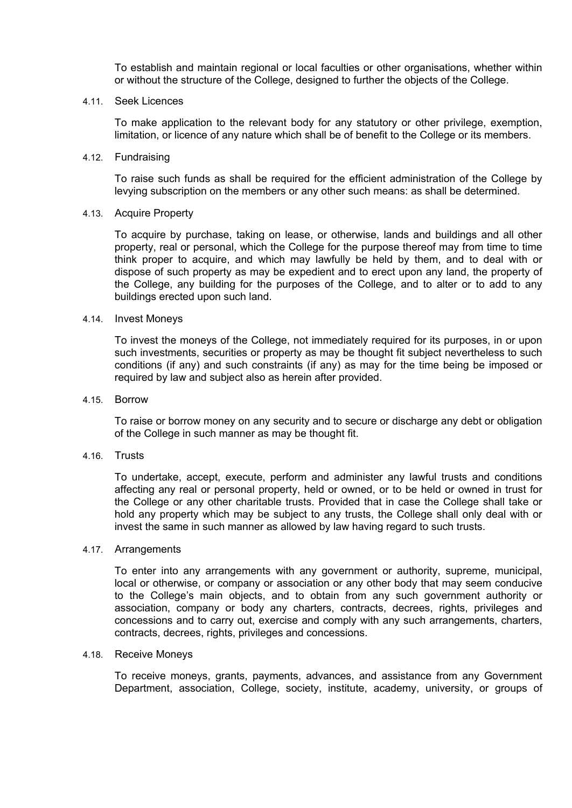To establish and maintain regional or local faculties or other organisations, whether within or without the structure of the College, designed to further the objects of the College.

4.11. Seek Licences

To make application to the relevant body for any statutory or other privilege, exemption, limitation, or licence of any nature which shall be of benefit to the College or its members.

4.12. Fundraising

To raise such funds as shall be required for the efficient administration of the College by levying subscription on the members or any other such means: as shall be determined.

### 4.13. Acquire Property

To acquire by purchase, taking on lease, or otherwise, lands and buildings and all other property, real or personal, which the College for the purpose thereof may from time to time think proper to acquire, and which may lawfully be held by them, and to deal with or dispose of such property as may be expedient and to erect upon any land, the property of the College, any building for the purposes of the College, and to alter or to add to any buildings erected upon such land.

### 4.14. Invest Moneys

To invest the moneys of the College, not immediately required for its purposes, in or upon such investments, securities or property as may be thought fit subject nevertheless to such conditions (if any) and such constraints (if any) as may for the time being be imposed or required by law and subject also as herein after provided.

4.15. Borrow

To raise or borrow money on any security and to secure or discharge any debt or obligation of the College in such manner as may be thought fit.

4.16. Trusts

To undertake, accept, execute, perform and administer any lawful trusts and conditions affecting any real or personal property, held or owned, or to be held or owned in trust for the College or any other charitable trusts. Provided that in case the College shall take or hold any property which may be subject to any trusts, the College shall only deal with or invest the same in such manner as allowed by law having regard to such trusts.

4.17. Arrangements

To enter into any arrangements with any government or authority, supreme, municipal, local or otherwise, or company or association or any other body that may seem conducive to the College's main objects, and to obtain from any such government authority or association, company or body any charters, contracts, decrees, rights, privileges and concessions and to carry out, exercise and comply with any such arrangements, charters, contracts, decrees, rights, privileges and concessions.

#### 4.18. Receive Moneys

To receive moneys, grants, payments, advances, and assistance from any Government Department, association, College, society, institute, academy, university, or groups of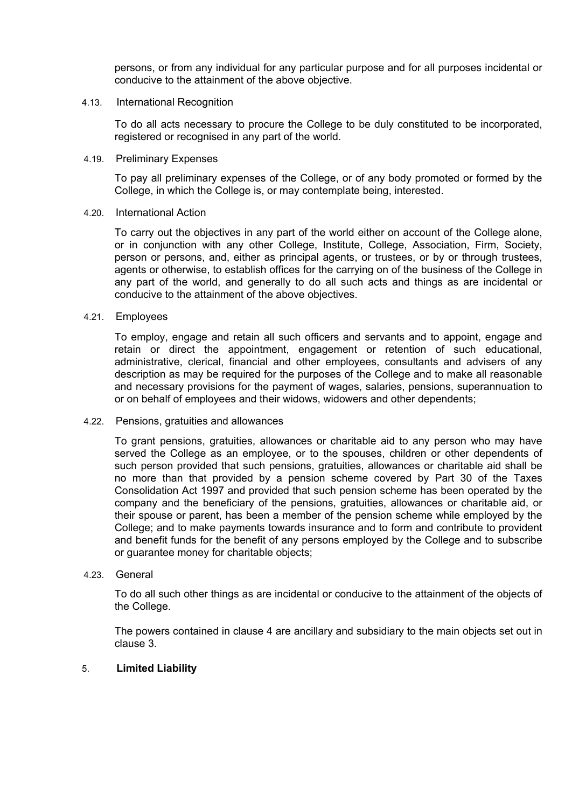persons, or from any individual for any particular purpose and for all purposes incidental or conducive to the attainment of the above objective.

### 4.13. International Recognition

To do all acts necessary to procure the College to be duly constituted to be incorporated, registered or recognised in any part of the world.

### 4.19. Preliminary Expenses

To pay all preliminary expenses of the College, or of any body promoted or formed by the College, in which the College is, or may contemplate being, interested.

### 4.20. International Action

To carry out the objectives in any part of the world either on account of the College alone, or in conjunction with any other College, Institute, College, Association, Firm, Society, person or persons, and, either as principal agents, or trustees, or by or through trustees, agents or otherwise, to establish offices for the carrying on of the business of the College in any part of the world, and generally to do all such acts and things as are incidental or conducive to the attainment of the above objectives.

### 4.21. Employees

To employ, engage and retain all such officers and servants and to appoint, engage and retain or direct the appointment, engagement or retention of such educational, administrative, clerical, financial and other employees, consultants and advisers of any description as may be required for the purposes of the College and to make all reasonable and necessary provisions for the payment of wages, salaries, pensions, superannuation to or on behalf of employees and their widows, widowers and other dependents;

### 4.22. Pensions, gratuities and allowances

To grant pensions, gratuities, allowances or charitable aid to any person who may have served the College as an employee, or to the spouses, children or other dependents of such person provided that such pensions, gratuities, allowances or charitable aid shall be no more than that provided by a pension scheme covered by Part 30 of the Taxes Consolidation Act 1997 and provided that such pension scheme has been operated by the company and the beneficiary of the pensions, gratuities, allowances or charitable aid, or their spouse or parent, has been a member of the pension scheme while employed by the College; and to make payments towards insurance and to form and contribute to provident and benefit funds for the benefit of any persons employed by the College and to subscribe or guarantee money for charitable objects;

### 4.23. General

To do all such other things as are incidental or conducive to the attainment of the objects of the College.

The powers contained in clause 4 are ancillary and subsidiary to the main objects set out in clause 3.

### 5. **Limited Liability**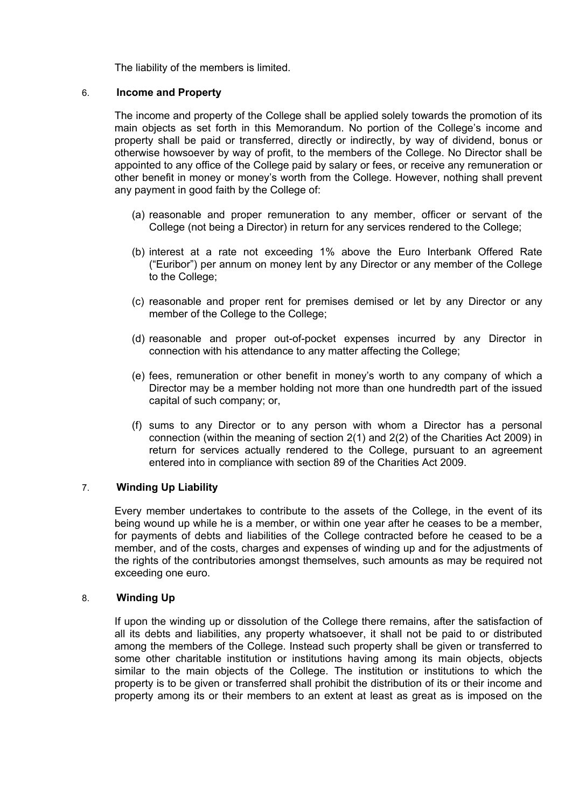The liability of the members is limited.

## 6. **Income and Property**

The income and property of the College shall be applied solely towards the promotion of its main objects as set forth in this Memorandum. No portion of the College's income and property shall be paid or transferred, directly or indirectly, by way of dividend, bonus or otherwise howsoever by way of profit, to the members of the College. No Director shall be appointed to any office of the College paid by salary or fees, or receive any remuneration or other benefit in money or money's worth from the College. However, nothing shall prevent any payment in good faith by the College of:

- (a) reasonable and proper remuneration to any member, officer or servant of the College (not being a Director) in return for any services rendered to the College;
- (b) interest at a rate not exceeding 1% above the Euro Interbank Offered Rate ("Euribor") per annum on money lent by any Director or any member of the College to the College;
- (c) reasonable and proper rent for premises demised or let by any Director or any member of the College to the College;
- (d) reasonable and proper out-of-pocket expenses incurred by any Director in connection with his attendance to any matter affecting the College;
- (e) fees, remuneration or other benefit in money's worth to any company of which a Director may be a member holding not more than one hundredth part of the issued capital of such company; or,
- (f) sums to any Director or to any person with whom a Director has a personal connection (within the meaning of section 2(1) and 2(2) of the Charities Act 2009) in return for services actually rendered to the College, pursuant to an agreement entered into in compliance with section 89 of the Charities Act 2009.

# 7. **Winding Up Liability**

Every member undertakes to contribute to the assets of the College, in the event of its being wound up while he is a member, or within one year after he ceases to be a member, for payments of debts and liabilities of the College contracted before he ceased to be a member, and of the costs, charges and expenses of winding up and for the adjustments of the rights of the contributories amongst themselves, such amounts as may be required not exceeding one euro.

# 8. **Winding Up**

If upon the winding up or dissolution of the College there remains, after the satisfaction of all its debts and liabilities, any property whatsoever, it shall not be paid to or distributed among the members of the College. Instead such property shall be given or transferred to some other charitable institution or institutions having among its main objects, objects similar to the main objects of the College. The institution or institutions to which the property is to be given or transferred shall prohibit the distribution of its or their income and property among its or their members to an extent at least as great as is imposed on the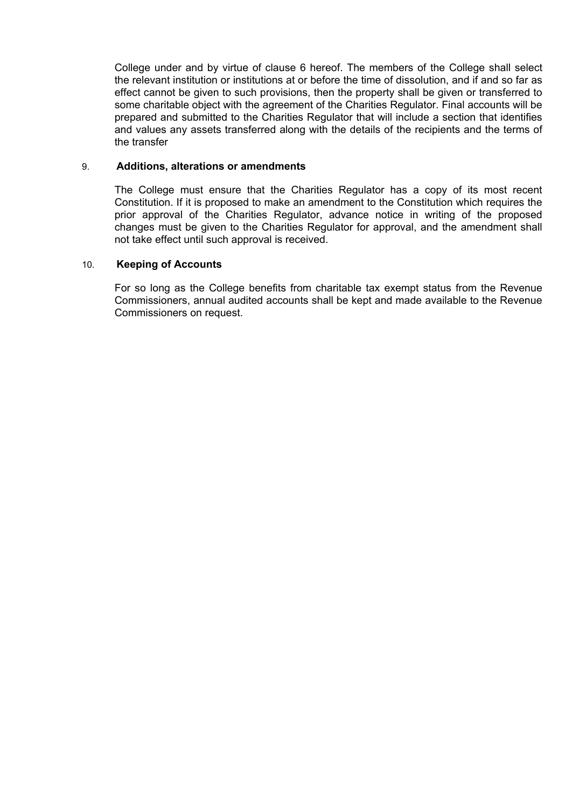College under and by virtue of clause 6 hereof. The members of the College shall select the relevant institution or institutions at or before the time of dissolution, and if and so far as effect cannot be given to such provisions, then the property shall be given or transferred to some charitable object with the agreement of the Charities Regulator. Final accounts will be prepared and submitted to the Charities Regulator that will include a section that identifies and values any assets transferred along with the details of the recipients and the terms of the transfer

### 9. **Additions, alterations or amendments**

The College must ensure that the Charities Regulator has a copy of its most recent Constitution. If it is proposed to make an amendment to the Constitution which requires the prior approval of the Charities Regulator, advance notice in writing of the proposed changes must be given to the Charities Regulator for approval, and the amendment shall not take effect until such approval is received.

## 10. **Keeping of Accounts**

For so long as the College benefits from charitable tax exempt status from the Revenue Commissioners, annual audited accounts shall be kept and made available to the Revenue Commissioners on request.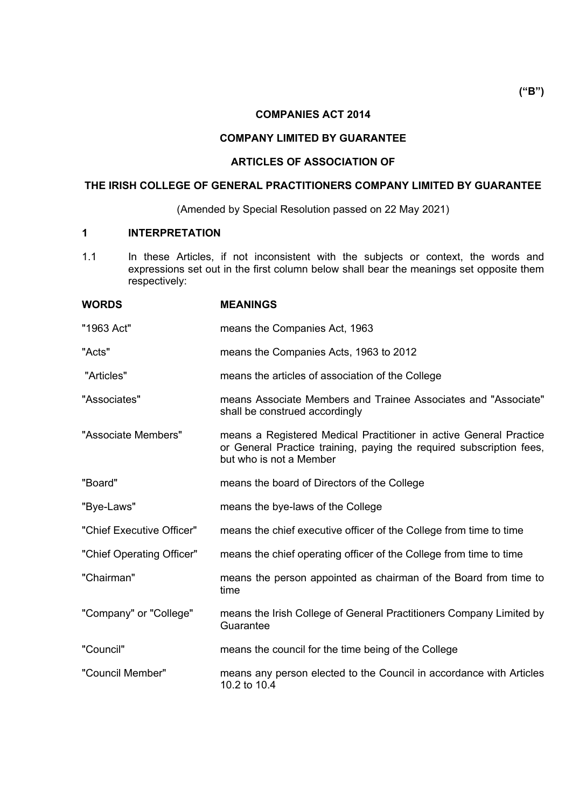# **COMPANIES ACT 2014**

# **COMPANY LIMITED BY GUARANTEE**

# **ARTICLES OF ASSOCIATION OF**

# **THE IRISH COLLEGE OF GENERAL PRACTITIONERS COMPANY LIMITED BY GUARANTEE**

(Amended by Special Resolution passed on 22 May 2021)

## **1 INTERPRETATION**

1.1 In these Articles, if not inconsistent with the subjects or context, the words and expressions set out in the first column below shall bear the meanings set opposite them respectively:

| <b>WORDS</b>              | <b>MEANINGS</b>                                                                                                                                                       |
|---------------------------|-----------------------------------------------------------------------------------------------------------------------------------------------------------------------|
| "1963 Act"                | means the Companies Act, 1963                                                                                                                                         |
| "Acts"                    | means the Companies Acts, 1963 to 2012                                                                                                                                |
| "Articles"                | means the articles of association of the College                                                                                                                      |
| "Associates"              | means Associate Members and Trainee Associates and "Associate"<br>shall be construed accordingly                                                                      |
| "Associate Members"       | means a Registered Medical Practitioner in active General Practice<br>or General Practice training, paying the required subscription fees,<br>but who is not a Member |
| "Board"                   | means the board of Directors of the College                                                                                                                           |
| "Bye-Laws"                | means the bye-laws of the College                                                                                                                                     |
| "Chief Executive Officer" | means the chief executive officer of the College from time to time                                                                                                    |
| "Chief Operating Officer" | means the chief operating officer of the College from time to time                                                                                                    |
| "Chairman"                | means the person appointed as chairman of the Board from time to<br>time                                                                                              |
| "Company" or "College"    | means the Irish College of General Practitioners Company Limited by<br>Guarantee                                                                                      |
| "Council"                 | means the council for the time being of the College                                                                                                                   |
| "Council Member"          | means any person elected to the Council in accordance with Articles<br>10.2 to 10.4                                                                                   |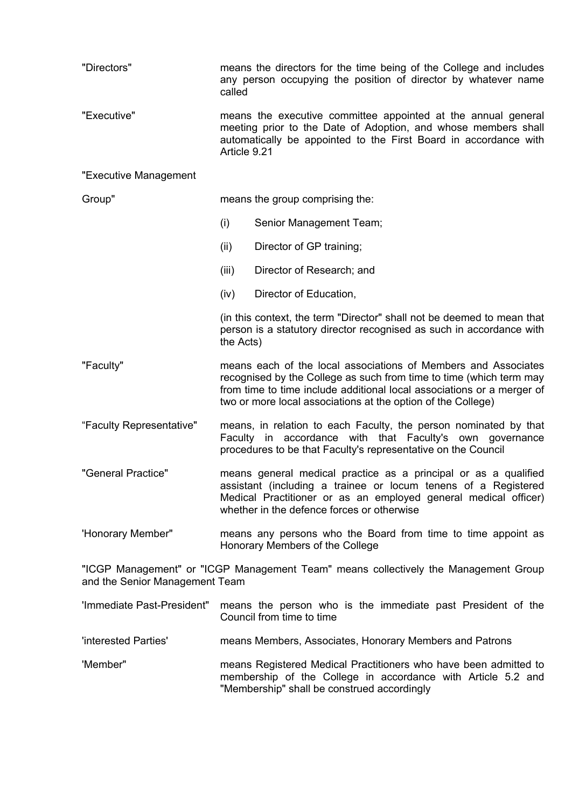| "Directors"                    | means the directors for the time being of the College and includes<br>any person occupying the position of director by whatever name<br>called                                                                                                                                  |                                                                                                                                                |  |  |
|--------------------------------|---------------------------------------------------------------------------------------------------------------------------------------------------------------------------------------------------------------------------------------------------------------------------------|------------------------------------------------------------------------------------------------------------------------------------------------|--|--|
| "Executive"                    | means the executive committee appointed at the annual general<br>meeting prior to the Date of Adoption, and whose members shall<br>automatically be appointed to the First Board in accordance with<br>Article 9.21                                                             |                                                                                                                                                |  |  |
| "Executive Management          |                                                                                                                                                                                                                                                                                 |                                                                                                                                                |  |  |
| Group"                         | means the group comprising the:                                                                                                                                                                                                                                                 |                                                                                                                                                |  |  |
|                                | (i)                                                                                                                                                                                                                                                                             | Senior Management Team;                                                                                                                        |  |  |
|                                | (ii)                                                                                                                                                                                                                                                                            | Director of GP training;                                                                                                                       |  |  |
|                                | (iii)                                                                                                                                                                                                                                                                           | Director of Research; and                                                                                                                      |  |  |
|                                | (iv)                                                                                                                                                                                                                                                                            | Director of Education,                                                                                                                         |  |  |
|                                | the Acts)                                                                                                                                                                                                                                                                       | (in this context, the term "Director" shall not be deemed to mean that<br>person is a statutory director recognised as such in accordance with |  |  |
| "Faculty"                      | means each of the local associations of Members and Associates<br>recognised by the College as such from time to time (which term may<br>from time to time include additional local associations or a merger of<br>two or more local associations at the option of the College) |                                                                                                                                                |  |  |
| "Faculty Representative"       | means, in relation to each Faculty, the person nominated by that<br>Faculty in accordance with that Faculty's own governance<br>procedures to be that Faculty's representative on the Council                                                                                   |                                                                                                                                                |  |  |
| "General Practice"             | means general medical practice as a principal or as a qualified<br>assistant (including a trainee or locum tenens of a Registered<br>Medical Practitioner or as an employed general medical officer)<br>whether in the defence forces or otherwise                              |                                                                                                                                                |  |  |
| 'Honorary Member"              | means any persons who the Board from time to time appoint as<br>Honorary Members of the College                                                                                                                                                                                 |                                                                                                                                                |  |  |
| and the Senior Management Team |                                                                                                                                                                                                                                                                                 | "ICGP Management" or "ICGP Management Team" means collectively the Management Group                                                            |  |  |
| 'Immediate Past-President"     |                                                                                                                                                                                                                                                                                 | means the person who is the immediate past President of the<br>Council from time to time                                                       |  |  |
| 'interested Parties'           | means Members, Associates, Honorary Members and Patrons                                                                                                                                                                                                                         |                                                                                                                                                |  |  |
| 'Member"                       | means Registered Medical Practitioners who have been admitted to<br>membership of the College in accordance with Article 5.2 and<br>"Membership" shall be construed accordingly                                                                                                 |                                                                                                                                                |  |  |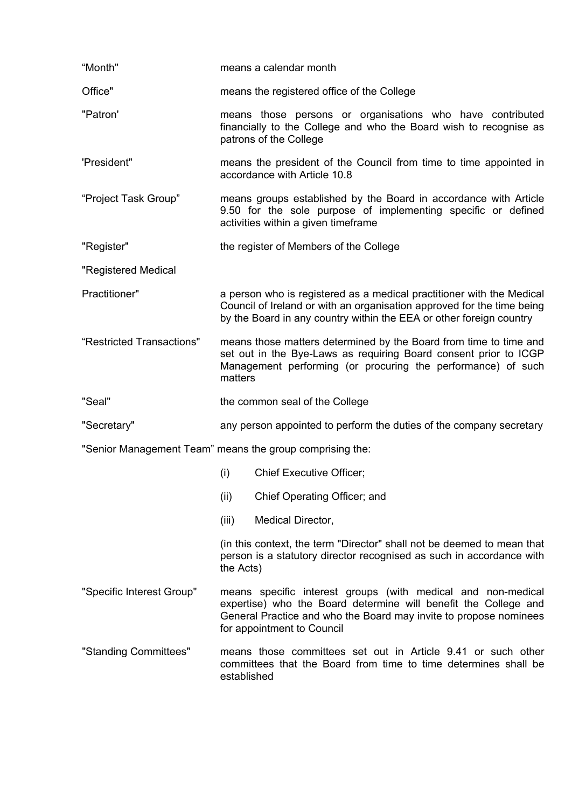| "Month"                                                  | means a calendar month                                                                                                                                                                                                             |                                                                                                                                                |  |  |  |
|----------------------------------------------------------|------------------------------------------------------------------------------------------------------------------------------------------------------------------------------------------------------------------------------------|------------------------------------------------------------------------------------------------------------------------------------------------|--|--|--|
| Office"                                                  | means the registered office of the College                                                                                                                                                                                         |                                                                                                                                                |  |  |  |
| "Patron"                                                 | means those persons or organisations who have contributed<br>financially to the College and who the Board wish to recognise as<br>patrons of the College                                                                           |                                                                                                                                                |  |  |  |
| 'President"                                              | means the president of the Council from time to time appointed in<br>accordance with Article 10.8                                                                                                                                  |                                                                                                                                                |  |  |  |
| "Project Task Group"                                     | means groups established by the Board in accordance with Article<br>9.50 for the sole purpose of implementing specific or defined<br>activities within a given timeframe                                                           |                                                                                                                                                |  |  |  |
| "Register"                                               | the register of Members of the College                                                                                                                                                                                             |                                                                                                                                                |  |  |  |
| "Registered Medical                                      |                                                                                                                                                                                                                                    |                                                                                                                                                |  |  |  |
| Practitioner"                                            | a person who is registered as a medical practitioner with the Medical<br>Council of Ireland or with an organisation approved for the time being<br>by the Board in any country within the EEA or other foreign country             |                                                                                                                                                |  |  |  |
| "Restricted Transactions"                                | means those matters determined by the Board from time to time and<br>set out in the Bye-Laws as requiring Board consent prior to ICGP<br>Management performing (or procuring the performance) of such<br>matters                   |                                                                                                                                                |  |  |  |
| "Seal"                                                   | the common seal of the College                                                                                                                                                                                                     |                                                                                                                                                |  |  |  |
| "Secretary"                                              | any person appointed to perform the duties of the company secretary                                                                                                                                                                |                                                                                                                                                |  |  |  |
| "Senior Management Team" means the group comprising the: |                                                                                                                                                                                                                                    |                                                                                                                                                |  |  |  |
|                                                          | (i)                                                                                                                                                                                                                                | <b>Chief Executive Officer;</b>                                                                                                                |  |  |  |
|                                                          | (ii)                                                                                                                                                                                                                               | Chief Operating Officer; and                                                                                                                   |  |  |  |
|                                                          | (iii)                                                                                                                                                                                                                              | Medical Director,                                                                                                                              |  |  |  |
|                                                          | the Acts)                                                                                                                                                                                                                          | (in this context, the term "Director" shall not be deemed to mean that<br>person is a statutory director recognised as such in accordance with |  |  |  |
| "Specific Interest Group"                                | means specific interest groups (with medical and non-medical<br>expertise) who the Board determine will benefit the College and<br>General Practice and who the Board may invite to propose nominees<br>for appointment to Council |                                                                                                                                                |  |  |  |
| "Standing Committees"                                    | means those committees set out in Article 9.41 or such other<br>committees that the Board from time to time determines shall be<br>established                                                                                     |                                                                                                                                                |  |  |  |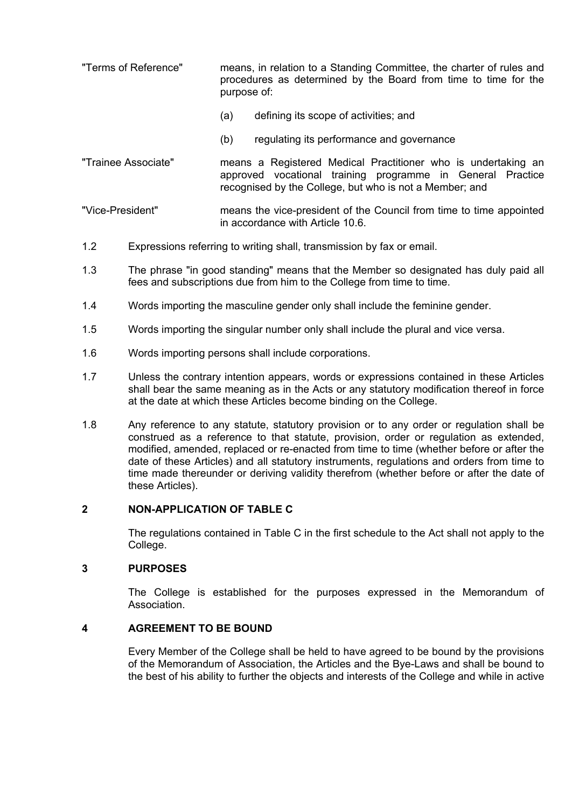- "Terms of Reference" means, in relation to a Standing Committee, the charter of rules and procedures as determined by the Board from time to time for the purpose of:
	- (a) defining its scope of activities; and
	- (b) regulating its performance and governance
- "Trainee Associate" means a Registered Medical Practitioner who is undertaking an approved vocational training programme in General Practice recognised by the College, but who is not a Member; and

"Vice-President" means the vice-president of the Council from time to time appointed in accordance with Article 10.6.

- 1.2 Expressions referring to writing shall, transmission by fax or email.
- 1.3 The phrase "in good standing" means that the Member so designated has duly paid all fees and subscriptions due from him to the College from time to time.
- 1.4 Words importing the masculine gender only shall include the feminine gender.
- 1.5 Words importing the singular number only shall include the plural and vice versa.
- 1.6 Words importing persons shall include corporations.
- 1.7 Unless the contrary intention appears, words or expressions contained in these Articles shall bear the same meaning as in the Acts or any statutory modification thereof in force at the date at which these Articles become binding on the College.
- 1.8 Any reference to any statute, statutory provision or to any order or regulation shall be construed as a reference to that statute, provision, order or regulation as extended, modified, amended, replaced or re-enacted from time to time (whether before or after the date of these Articles) and all statutory instruments, regulations and orders from time to time made thereunder or deriving validity therefrom (whether before or after the date of these Articles).

# **2 NON-APPLICATION OF TABLE C**

The regulations contained in Table C in the first schedule to the Act shall not apply to the College.

### **3 PURPOSES**

The College is established for the purposes expressed in the Memorandum of **Association** 

### **4 AGREEMENT TO BE BOUND**

Every Member of the College shall be held to have agreed to be bound by the provisions of the Memorandum of Association, the Articles and the Bye-Laws and shall be bound to the best of his ability to further the objects and interests of the College and while in active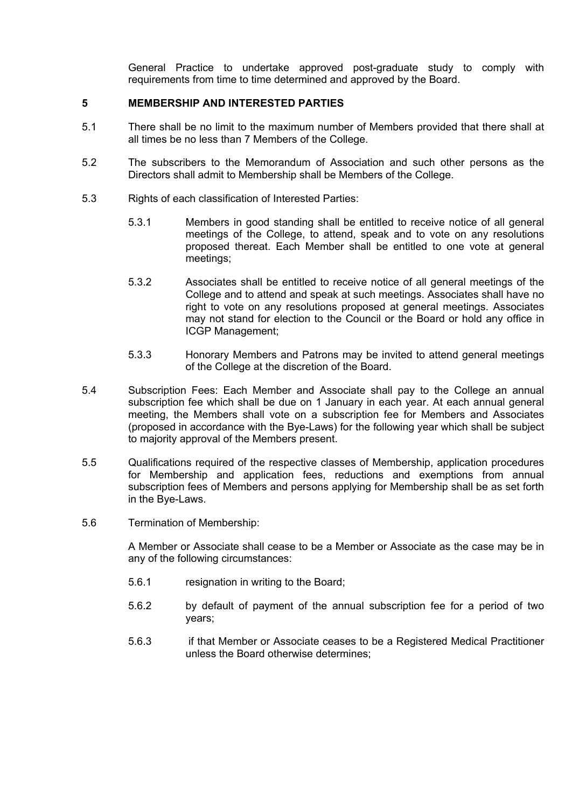General Practice to undertake approved post-graduate study to comply with requirements from time to time determined and approved by the Board.

## **5 MEMBERSHIP AND INTERESTED PARTIES**

- 5.1 There shall be no limit to the maximum number of Members provided that there shall at all times be no less than 7 Members of the College.
- 5.2 The subscribers to the Memorandum of Association and such other persons as the Directors shall admit to Membership shall be Members of the College.
- 5.3 Rights of each classification of Interested Parties:
	- 5.3.1 Members in good standing shall be entitled to receive notice of all general meetings of the College, to attend, speak and to vote on any resolutions proposed thereat. Each Member shall be entitled to one vote at general meetings;
	- 5.3.2 Associates shall be entitled to receive notice of all general meetings of the College and to attend and speak at such meetings. Associates shall have no right to vote on any resolutions proposed at general meetings. Associates may not stand for election to the Council or the Board or hold any office in ICGP Management;
	- 5.3.3 Honorary Members and Patrons may be invited to attend general meetings of the College at the discretion of the Board.
- 5.4 Subscription Fees: Each Member and Associate shall pay to the College an annual subscription fee which shall be due on 1 January in each year. At each annual general meeting, the Members shall vote on a subscription fee for Members and Associates (proposed in accordance with the Bye-Laws) for the following year which shall be subject to majority approval of the Members present.
- 5.5 Qualifications required of the respective classes of Membership, application procedures for Membership and application fees, reductions and exemptions from annual subscription fees of Members and persons applying for Membership shall be as set forth in the Bye-Laws.
- 5.6 Termination of Membership:

A Member or Associate shall cease to be a Member or Associate as the case may be in any of the following circumstances:

- 5.6.1 resignation in writing to the Board;
- 5.6.2 by default of payment of the annual subscription fee for a period of two years;
- 5.6.3 if that Member or Associate ceases to be a Registered Medical Practitioner unless the Board otherwise determines;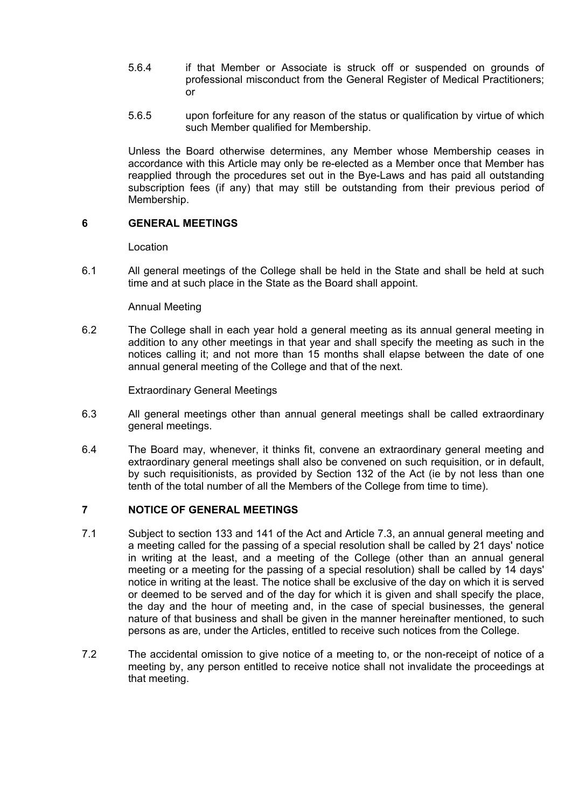- 5.6.4 if that Member or Associate is struck off or suspended on grounds of professional misconduct from the General Register of Medical Practitioners; or
- 5.6.5 upon forfeiture for any reason of the status or qualification by virtue of which such Member qualified for Membership.

Unless the Board otherwise determines, any Member whose Membership ceases in accordance with this Article may only be re-elected as a Member once that Member has reapplied through the procedures set out in the Bye-Laws and has paid all outstanding subscription fees (if any) that may still be outstanding from their previous period of Membership.

## **6 GENERAL MEETINGS**

Location

6.1 All general meetings of the College shall be held in the State and shall be held at such time and at such place in the State as the Board shall appoint.

## Annual Meeting

6.2 The College shall in each year hold a general meeting as its annual general meeting in addition to any other meetings in that year and shall specify the meeting as such in the notices calling it; and not more than 15 months shall elapse between the date of one annual general meeting of the College and that of the next.

Extraordinary General Meetings

- 6.3 All general meetings other than annual general meetings shall be called extraordinary general meetings.
- 6.4 The Board may, whenever, it thinks fit, convene an extraordinary general meeting and extraordinary general meetings shall also be convened on such requisition, or in default, by such requisitionists, as provided by Section 132 of the Act (ie by not less than one tenth of the total number of all the Members of the College from time to time).

# **7 NOTICE OF GENERAL MEETINGS**

- 7.1 Subject to section 133 and 141 of the Act and Article 7.3, an annual general meeting and a meeting called for the passing of a special resolution shall be called by 21 days' notice in writing at the least, and a meeting of the College (other than an annual general meeting or a meeting for the passing of a special resolution) shall be called by 14 days' notice in writing at the least. The notice shall be exclusive of the day on which it is served or deemed to be served and of the day for which it is given and shall specify the place, the day and the hour of meeting and, in the case of special businesses, the general nature of that business and shall be given in the manner hereinafter mentioned, to such persons as are, under the Articles, entitled to receive such notices from the College.
- 7.2 The accidental omission to give notice of a meeting to, or the non-receipt of notice of a meeting by, any person entitled to receive notice shall not invalidate the proceedings at that meeting.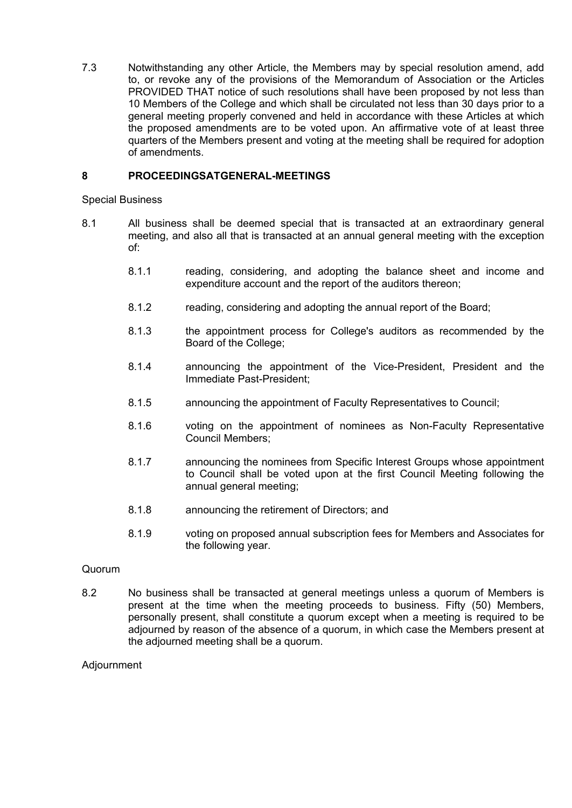7.3 Notwithstanding any other Article, the Members may by special resolution amend, add to, or revoke any of the provisions of the Memorandum of Association or the Articles PROVIDED THAT notice of such resolutions shall have been proposed by not less than 10 Members of the College and which shall be circulated not less than 30 days prior to a general meeting properly convened and held in accordance with these Articles at which the proposed amendments are to be voted upon. An affirmative vote of at least three quarters of the Members present and voting at the meeting shall be required for adoption of amendments.

## **8 PROCEEDINGSATGENERAL-MEETINGS**

Special Business

- 8.1 All business shall be deemed special that is transacted at an extraordinary general meeting, and also all that is transacted at an annual general meeting with the exception of:
	- 8.1.1 reading, considering, and adopting the balance sheet and income and expenditure account and the report of the auditors thereon;
	- 8.1.2 reading, considering and adopting the annual report of the Board;
	- 8.1.3 the appointment process for College's auditors as recommended by the Board of the College;
	- 8.1.4 announcing the appointment of the Vice-President, President and the Immediate Past-President;
	- 8.1.5 announcing the appointment of Faculty Representatives to Council;
	- 8.1.6 voting on the appointment of nominees as Non-Faculty Representative Council Members;
	- 8.1.7 announcing the nominees from Specific Interest Groups whose appointment to Council shall be voted upon at the first Council Meeting following the annual general meeting;
	- 8.1.8 announcing the retirement of Directors; and
	- 8.1.9 voting on proposed annual subscription fees for Members and Associates for the following year.

### Quorum

8.2 No business shall be transacted at general meetings unless a quorum of Members is present at the time when the meeting proceeds to business. Fifty (50) Members, personally present, shall constitute a quorum except when a meeting is required to be adjourned by reason of the absence of a quorum, in which case the Members present at the adjourned meeting shall be a quorum.

Adjournment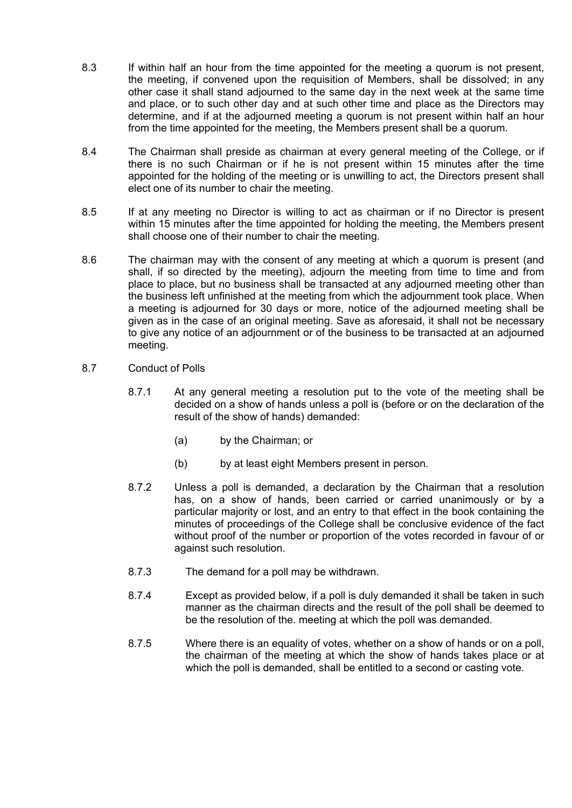- 8.3 If within half an hour from the time appointed for the meeting a quorum is not present, the meeting, if convened upon the requisition of Members, shall be dissolved; in any other case it shall stand adjourned to the same day in the next week at the same time and place, or to such other day and at such other time and place as the Directors may determine, and if at the adjourned meeting a quorum is not present within half an hour from the time appointed for the meeting, the Members present shall be a quorum.
- 8.4 The Chairman shall preside as chairman at every general meeting of the College, or if there is no such Chairman or if he is not present within 15 minutes after the time appointed for the holding of the meeting or is unwilling to act, the Directors present shall elect one of its number to chair the meeting.
- 8.5 If at any meeting no Director is willing to act as chairman or if no Director is present within 15 minutes after the time appointed for holding the meeting, the Members present shall choose one of their number to chair the meeting.
- 8.6 The chairman may with the consent of any meeting at which a quorum is present (and shall, if so directed by the meeting), adjourn the meeting from time to time and from place to place, but no business shall be transacted at any adjourned meeting other than the business left unfinished at the meeting from which the adjournment took place. When a meeting is adjourned for 30 days or more, notice of the adjourned meeting shall be given as in the case of an original meeting. Save as aforesaid, it shall not be necessary to give any notice of an adjournment or of the business to be transacted at an adjourned meeting.
- 8.7 Conduct of Polls
	- 8.7.1 At any general meeting a resolution put to the vote of the meeting shall be decided on a show of hands unless a poll is (before or on the declaration of the result of the show of hands) demanded:
		- (a) by the Chairman; or
		- (b) by at least eight Members present in person.
	- 8.7.2 Unless a poll is demanded, a declaration by the Chairman that a resolution has, on a show of hands, been carried or carried unanimously or by a particular majority or lost, and an entry to that effect in the book containing the minutes of proceedings of the College shall be conclusive evidence of the fact without proof of the number or proportion of the votes recorded in favour of or against such resolution.
	- 8.7.3 The demand for a poll may be withdrawn.
	- 8.7.4 Except as provided below, if a poll is duly demanded it shall be taken in such manner as the chairman directs and the result of the poll shall be deemed to be the resolution of the. meeting at which the poll was demanded.
	- 8.7.5 Where there is an equality of votes, whether on a show of hands or on a poll, the chairman of the meeting at which the show of hands takes place or at which the poll is demanded, shall be entitled to a second or casting vote.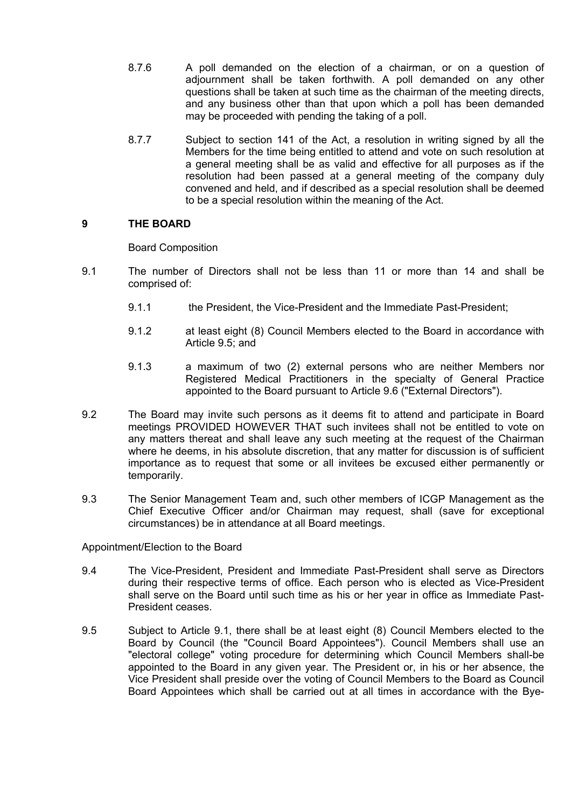- 8.7.6 A poll demanded on the election of a chairman, or on a question of adjournment shall be taken forthwith. A poll demanded on any other questions shall be taken at such time as the chairman of the meeting directs, and any business other than that upon which a poll has been demanded may be proceeded with pending the taking of a poll.
- 8.7.7 Subject to section 141 of the Act, a resolution in writing signed by all the Members for the time being entitled to attend and vote on such resolution at a general meeting shall be as valid and effective for all purposes as if the resolution had been passed at a general meeting of the company duly convened and held, and if described as a special resolution shall be deemed to be a special resolution within the meaning of the Act.

# **9 THE BOARD**

Board Composition

- 9.1 The number of Directors shall not be less than 11 or more than 14 and shall be comprised of:
	- 9.1.1 the President, the Vice-President and the Immediate Past-President;
	- 9.1.2 at least eight (8) Council Members elected to the Board in accordance with Article 9.5; and
	- 9.1.3 a maximum of two (2) external persons who are neither Members nor Registered Medical Practitioners in the specialty of General Practice appointed to the Board pursuant to Article 9.6 ("External Directors").
- 9.2 The Board may invite such persons as it deems fit to attend and participate in Board meetings PROVIDED HOWEVER THAT such invitees shall not be entitled to vote on any matters thereat and shall leave any such meeting at the request of the Chairman where he deems, in his absolute discretion, that any matter for discussion is of sufficient importance as to request that some or all invitees be excused either permanently or temporarily.
- 9.3 The Senior Management Team and, such other members of ICGP Management as the Chief Executive Officer and/or Chairman may request, shall (save for exceptional circumstances) be in attendance at all Board meetings.

Appointment/Election to the Board

- 9.4 The Vice-President, President and Immediate Past-President shall serve as Directors during their respective terms of office. Each person who is elected as Vice-President shall serve on the Board until such time as his or her year in office as Immediate Past-President ceases.
- 9.5 Subject to Article 9.1, there shall be at least eight (8) Council Members elected to the Board by Council (the "Council Board Appointees"). Council Members shall use an "electoral college" voting procedure for determining which Council Members shall-be appointed to the Board in any given year. The President or, in his or her absence, the Vice President shall preside over the voting of Council Members to the Board as Council Board Appointees which shall be carried out at all times in accordance with the Bye-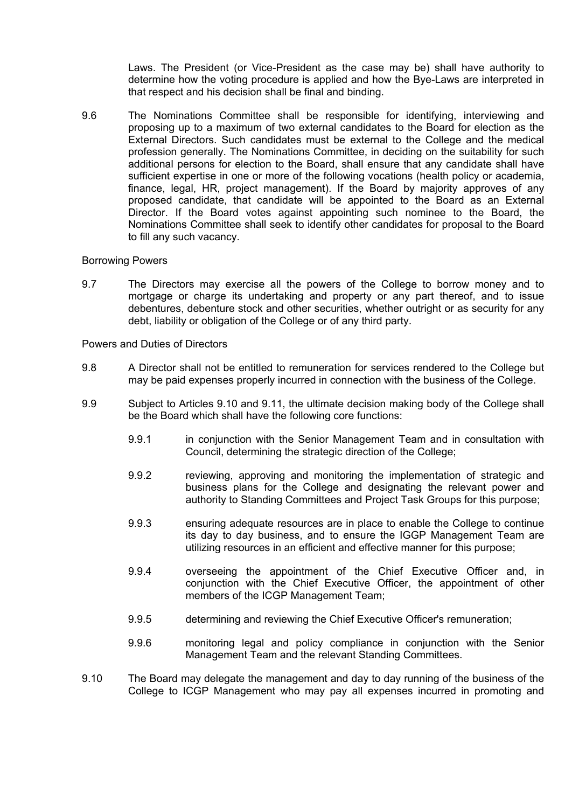Laws. The President (or Vice-President as the case may be) shall have authority to determine how the voting procedure is applied and how the Bye-Laws are interpreted in that respect and his decision shall be final and binding.

9.6 The Nominations Committee shall be responsible for identifying, interviewing and proposing up to a maximum of two external candidates to the Board for election as the External Directors. Such candidates must be external to the College and the medical profession generally. The Nominations Committee, in deciding on the suitability for such additional persons for election to the Board, shall ensure that any candidate shall have sufficient expertise in one or more of the following vocations (health policy or academia, finance, legal, HR, project management). If the Board by majority approves of any proposed candidate, that candidate will be appointed to the Board as an External Director. If the Board votes against appointing such nominee to the Board, the Nominations Committee shall seek to identify other candidates for proposal to the Board to fill any such vacancy.

### Borrowing Powers

9.7 The Directors may exercise all the powers of the College to borrow money and to mortgage or charge its undertaking and property or any part thereof, and to issue debentures, debenture stock and other securities, whether outright or as security for any debt, liability or obligation of the College or of any third party.

Powers and Duties of Directors

- 9.8 A Director shall not be entitled to remuneration for services rendered to the College but may be paid expenses properly incurred in connection with the business of the College.
- 9.9 Subject to Articles 9.10 and 9.11, the ultimate decision making body of the College shall be the Board which shall have the following core functions:
	- 9.9.1 in conjunction with the Senior Management Team and in consultation with Council, determining the strategic direction of the College;
	- 9.9.2 reviewing, approving and monitoring the implementation of strategic and business plans for the College and designating the relevant power and authority to Standing Committees and Project Task Groups for this purpose;
	- 9.9.3 ensuring adequate resources are in place to enable the College to continue its day to day business, and to ensure the IGGP Management Team are utilizing resources in an efficient and effective manner for this purpose;
	- 9.9.4 overseeing the appointment of the Chief Executive Officer and, in conjunction with the Chief Executive Officer, the appointment of other members of the ICGP Management Team;
	- 9.9.5 determining and reviewing the Chief Executive Officer's remuneration;
	- 9.9.6 monitoring legal and policy compliance in conjunction with the Senior Management Team and the relevant Standing Committees.
- 9.10 The Board may delegate the management and day to day running of the business of the College to ICGP Management who may pay all expenses incurred in promoting and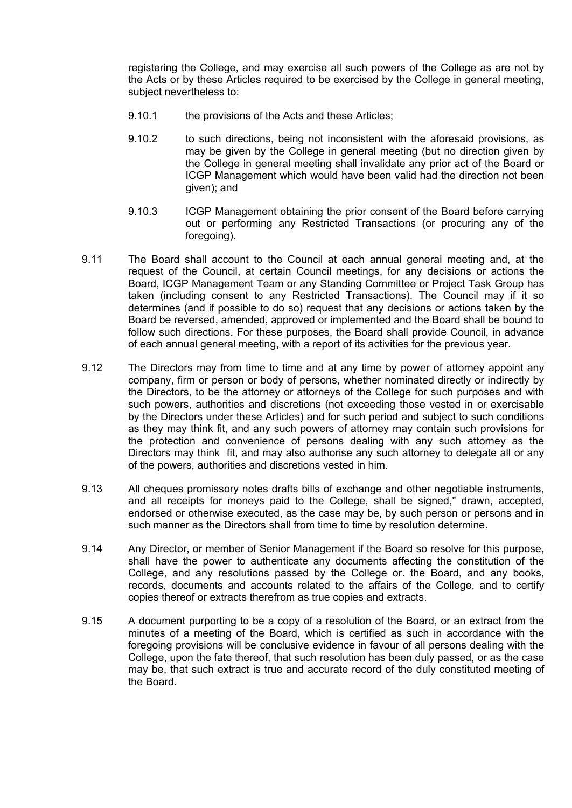registering the College, and may exercise all such powers of the College as are not by the Acts or by these Articles required to be exercised by the College in general meeting, subject nevertheless to:

- 9.10.1 the provisions of the Acts and these Articles;
- 9.10.2 to such directions, being not inconsistent with the aforesaid provisions, as may be given by the College in general meeting (but no direction given by the College in general meeting shall invalidate any prior act of the Board or ICGP Management which would have been valid had the direction not been given); and
- 9.10.3 ICGP Management obtaining the prior consent of the Board before carrying out or performing any Restricted Transactions (or procuring any of the foregoing).
- 9.11 The Board shall account to the Council at each annual general meeting and, at the request of the Council, at certain Council meetings, for any decisions or actions the Board, ICGP Management Team or any Standing Committee or Project Task Group has taken (including consent to any Restricted Transactions). The Council may if it so determines (and if possible to do so) request that any decisions or actions taken by the Board be reversed, amended, approved or implemented and the Board shall be bound to follow such directions. For these purposes, the Board shall provide Council, in advance of each annual general meeting, with a report of its activities for the previous year.
- 9.12 The Directors may from time to time and at any time by power of attorney appoint any company, firm or person or body of persons, whether nominated directly or indirectly by the Directors, to be the attorney or attorneys of the College for such purposes and with such powers, authorities and discretions (not exceeding those vested in or exercisable by the Directors under these Articles) and for such period and subject to such conditions as they may think fit, and any such powers of attorney may contain such provisions for the protection and convenience of persons dealing with any such attorney as the Directors may think fit, and may also authorise any such attorney to delegate all or any of the powers, authorities and discretions vested in him.
- 9.13 All cheques promissory notes drafts bills of exchange and other negotiable instruments, and all receipts for moneys paid to the College, shall be signed," drawn, accepted, endorsed or otherwise executed, as the case may be, by such person or persons and in such manner as the Directors shall from time to time by resolution determine.
- 9.14 Any Director, or member of Senior Management if the Board so resolve for this purpose, shall have the power to authenticate any documents affecting the constitution of the College, and any resolutions passed by the College or. the Board, and any books, records, documents and accounts related to the affairs of the College, and to certify copies thereof or extracts therefrom as true copies and extracts.
- 9.15 A document purporting to be a copy of a resolution of the Board, or an extract from the minutes of a meeting of the Board, which is certified as such in accordance with the foregoing provisions will be conclusive evidence in favour of all persons dealing with the College, upon the fate thereof, that such resolution has been duly passed, or as the case may be, that such extract is true and accurate record of the duly constituted meeting of the Board.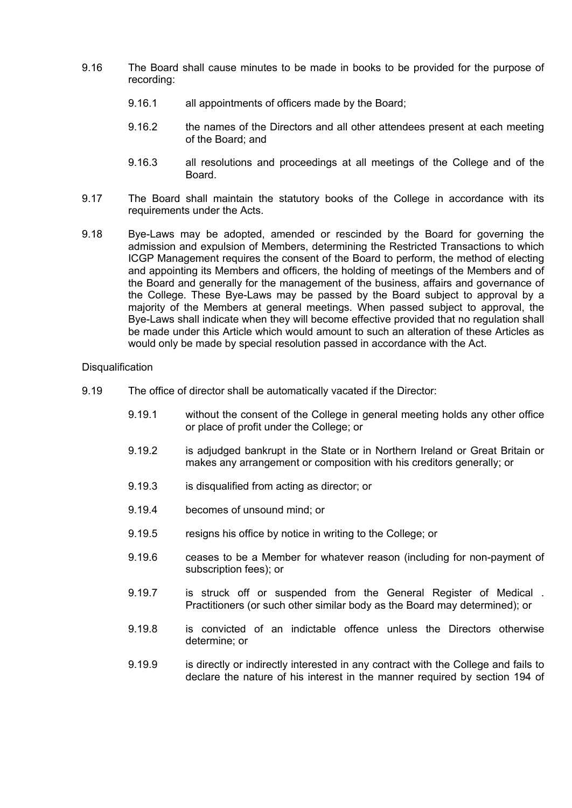- 9.16 The Board shall cause minutes to be made in books to be provided for the purpose of recording:
	- 9.16.1 all appointments of officers made by the Board;
	- 9.16.2 the names of the Directors and all other attendees present at each meeting of the Board; and
	- 9.16.3 all resolutions and proceedings at all meetings of the College and of the Board.
- 9.17 The Board shall maintain the statutory books of the College in accordance with its requirements under the Acts.
- 9.18 Bye-Laws may be adopted, amended or rescinded by the Board for governing the admission and expulsion of Members, determining the Restricted Transactions to which ICGP Management requires the consent of the Board to perform, the method of electing and appointing its Members and officers, the holding of meetings of the Members and of the Board and generally for the management of the business, affairs and governance of the College. These Bye-Laws may be passed by the Board subject to approval by a majority of the Members at general meetings. When passed subject to approval, the Bye-Laws shall indicate when they will become effective provided that no regulation shall be made under this Article which would amount to such an alteration of these Articles as would only be made by special resolution passed in accordance with the Act.

### **Disqualification**

- 9.19 The office of director shall be automatically vacated if the Director:
	- 9.19.1 without the consent of the College in general meeting holds any other office or place of profit under the College; or
	- 9.19.2 is adjudged bankrupt in the State or in Northern Ireland or Great Britain or makes any arrangement or composition with his creditors generally; or
	- 9.19.3 is disqualified from acting as director; or
	- 9.19.4 becomes of unsound mind; or
	- 9.19.5 resigns his office by notice in writing to the College; or
	- 9.19.6 ceases to be a Member for whatever reason (including for non-payment of subscription fees); or
	- 9.19.7 is struck off or suspended from the General Register of Medical . Practitioners (or such other similar body as the Board may determined); or
	- 9.19.8 is convicted of an indictable offence unless the Directors otherwise determine; or
	- 9.19.9 is directly or indirectly interested in any contract with the College and fails to declare the nature of his interest in the manner required by section 194 of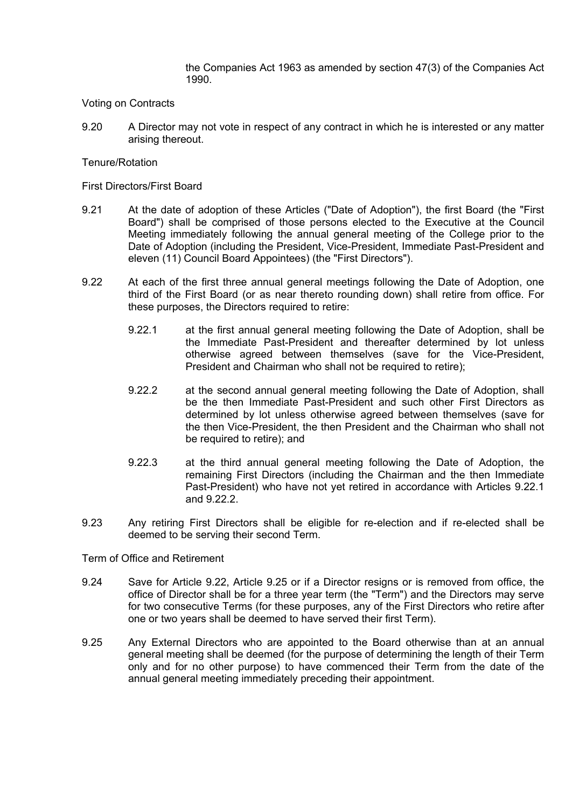the Companies Act 1963 as amended by section 47(3) of the Companies Act 1990.

### Voting on Contracts

9.20 A Director may not vote in respect of any contract in which he is interested or any matter arising thereout.

## Tenure/Rotation

First Directors/First Board

- 9.21 At the date of adoption of these Articles ("Date of Adoption"), the first Board (the "First Board") shall be comprised of those persons elected to the Executive at the Council Meeting immediately following the annual general meeting of the College prior to the Date of Adoption (including the President, Vice-President, Immediate Past-President and eleven (11) Council Board Appointees) (the "First Directors").
- 9.22 At each of the first three annual general meetings following the Date of Adoption, one third of the First Board (or as near thereto rounding down) shall retire from office. For these purposes, the Directors required to retire:
	- 9.22.1 at the first annual general meeting following the Date of Adoption, shall be the Immediate Past-President and thereafter determined by lot unless otherwise agreed between themselves (save for the Vice-President, President and Chairman who shall not be required to retire);
	- 9.22.2 at the second annual general meeting following the Date of Adoption, shall be the then Immediate Past-President and such other First Directors as determined by lot unless otherwise agreed between themselves (save for the then Vice-President, the then President and the Chairman who shall not be required to retire); and
	- 9.22.3 at the third annual general meeting following the Date of Adoption, the remaining First Directors (including the Chairman and the then Immediate Past-President) who have not yet retired in accordance with Articles 9.22.1 and 9.22.2.
- 9.23 Any retiring First Directors shall be eligible for re-election and if re-elected shall be deemed to be serving their second Term.

Term of Office and Retirement

- 9.24 Save for Article 9.22, Article 9.25 or if a Director resigns or is removed from office, the office of Director shall be for a three year term (the "Term") and the Directors may serve for two consecutive Terms (for these purposes, any of the First Directors who retire after one or two years shall be deemed to have served their first Term).
- 9.25 Any External Directors who are appointed to the Board otherwise than at an annual general meeting shall be deemed (for the purpose of determining the length of their Term only and for no other purpose) to have commenced their Term from the date of the annual general meeting immediately preceding their appointment.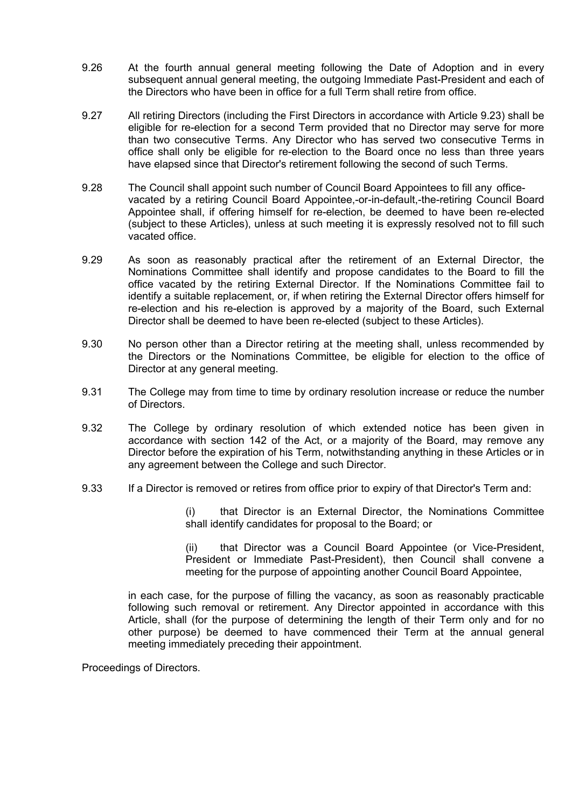- 9.26 At the fourth annual general meeting following the Date of Adoption and in every subsequent annual general meeting, the outgoing Immediate Past-President and each of the Directors who have been in office for a full Term shall retire from office.
- 9.27 All retiring Directors (including the First Directors in accordance with Article 9.23) shall be eligible for re-election for a second Term provided that no Director may serve for more than two consecutive Terms. Any Director who has served two consecutive Terms in office shall only be eligible for re-election to the Board once no less than three years have elapsed since that Director's retirement following the second of such Terms.
- 9.28 The Council shall appoint such number of Council Board Appointees to fill any officevacated by a retiring Council Board Appointee,-or-in-default,-the-retiring Council Board Appointee shall, if offering himself for re-election, be deemed to have been re-elected (subject to these Articles), unless at such meeting it is expressly resolved not to fill such vacated office.
- 9.29 As soon as reasonably practical after the retirement of an External Director, the Nominations Committee shall identify and propose candidates to the Board to fill the office vacated by the retiring External Director. If the Nominations Committee fail to identify a suitable replacement, or, if when retiring the External Director offers himself for re-election and his re-election is approved by a majority of the Board, such External Director shall be deemed to have been re-elected (subject to these Articles).
- 9.30 No person other than a Director retiring at the meeting shall, unless recommended by the Directors or the Nominations Committee, be eligible for election to the office of Director at any general meeting.
- 9.31 The College may from time to time by ordinary resolution increase or reduce the number of Directors.
- 9.32 The College by ordinary resolution of which extended notice has been given in accordance with section 142 of the Act, or a majority of the Board, may remove any Director before the expiration of his Term, notwithstanding anything in these Articles or in any agreement between the College and such Director.
- 9.33 If a Director is removed or retires from office prior to expiry of that Director's Term and:

(i) that Director is an External Director, the Nominations Committee shall identify candidates for proposal to the Board; or

(ii) that Director was a Council Board Appointee (or Vice-President, President or Immediate Past-President), then Council shall convene a meeting for the purpose of appointing another Council Board Appointee,

in each case, for the purpose of filling the vacancy, as soon as reasonably practicable following such removal or retirement. Any Director appointed in accordance with this Article, shall (for the purpose of determining the length of their Term only and for no other purpose) be deemed to have commenced their Term at the annual general meeting immediately preceding their appointment.

Proceedings of Directors.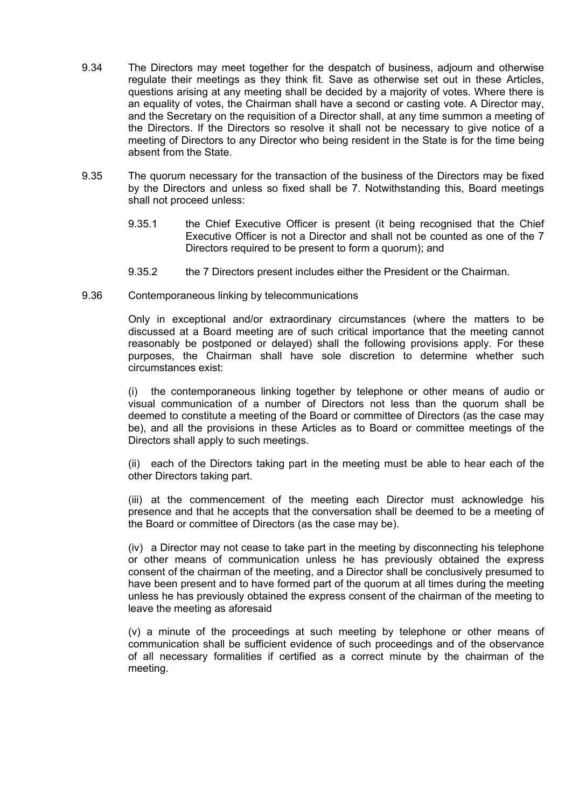- 9.34 The Directors may meet together for the despatch of business, adjourn and otherwise regulate their meetings as they think fit. Save as otherwise set out in these Articles, questions arising at any meeting shall be decided by a majority of votes. Where there is an equality of votes, the Chairman shall have a second or casting vote. A Director may, and the Secretary on the requisition of a Director shall, at any time summon a meeting of the Directors. If the Directors so resolve it shall not be necessary to give notice of a meeting of Directors to any Director who being resident in the State is for the time being absent from the State.
- 9.35 The quorum necessary for the transaction of the business of the Directors may be fixed by the Directors and unless so fixed shall be 7. Notwithstanding this, Board meetings shall not proceed unless:
	- 9.35.1 the Chief Executive Officer is present (it being recognised that the Chief Executive Officer is not a Director and shall not be counted as one of the 7 Directors required to be present to form a quorum); and
	- 9.35.2 the 7 Directors present includes either the President or the Chairman.
- 9.36 Contemporaneous linking by telecommunications

Only in exceptional and/or extraordinary circumstances (where the matters to be discussed at a Board meeting are of such critical importance that the meeting cannot reasonably be postponed or delayed) shall the following provisions apply. For these purposes, the Chairman shall have sole discretion to determine whether such circumstances exist:

(i) the contemporaneous linking together by telephone or other means of audio or visual communication of a number of Directors not less than the quorum shall be deemed to constitute a meeting of the Board or committee of Directors (as the case may be), and all the provisions in these Articles as to Board or committee meetings of the Directors shall apply to such meetings.

(ii) each of the Directors taking part in the meeting must be able to hear each of the other Directors taking part.

(iii) at the commencement of the meeting each Director must acknowledge his presence and that he accepts that the conversation shall be deemed to be a meeting of the Board or committee of Directors (as the case may be).

(iv) a Director may not cease to take part in the meeting by disconnecting his telephone or other means of communication unless he has previously obtained the express consent of the chairman of the meeting, and a Director shall be conclusively presumed to have been present and to have formed part of the quorum at all times during the meeting unless he has previously obtained the express consent of the chairman of the meeting to leave the meeting as aforesaid

(v) a minute of the proceedings at such meeting by telephone or other means of communication shall be sufficient evidence of such proceedings and of the observance of all necessary formalities if certified as a correct minute by the chairman of the meeting.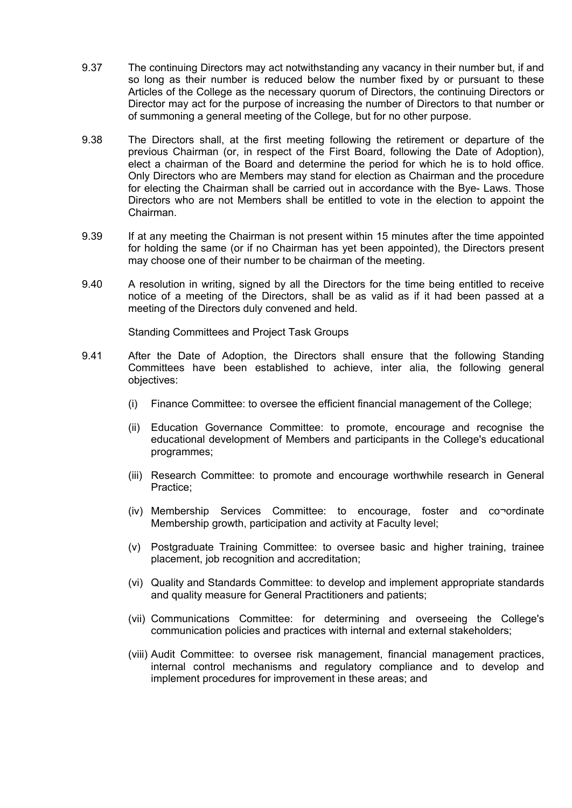- 9.37 The continuing Directors may act notwithstanding any vacancy in their number but, if and so long as their number is reduced below the number fixed by or pursuant to these Articles of the College as the necessary quorum of Directors, the continuing Directors or Director may act for the purpose of increasing the number of Directors to that number or of summoning a general meeting of the College, but for no other purpose.
- 9.38 The Directors shall, at the first meeting following the retirement or departure of the previous Chairman (or, in respect of the First Board, following the Date of Adoption), elect a chairman of the Board and determine the period for which he is to hold office. Only Directors who are Members may stand for election as Chairman and the procedure for electing the Chairman shall be carried out in accordance with the Bye- Laws. Those Directors who are not Members shall be entitled to vote in the election to appoint the Chairman.
- 9.39 If at any meeting the Chairman is not present within 15 minutes after the time appointed for holding the same (or if no Chairman has yet been appointed), the Directors present may choose one of their number to be chairman of the meeting.
- 9.40 A resolution in writing, signed by all the Directors for the time being entitled to receive notice of a meeting of the Directors, shall be as valid as if it had been passed at a meeting of the Directors duly convened and held.

Standing Committees and Project Task Groups

- 9.41 After the Date of Adoption, the Directors shall ensure that the following Standing Committees have been established to achieve, inter alia, the following general objectives:
	- (i) Finance Committee: to oversee the efficient financial management of the College;
	- (ii) Education Governance Committee: to promote, encourage and recognise the educational development of Members and participants in the College's educational programmes;
	- (iii) Research Committee: to promote and encourage worthwhile research in General Practice;
	- (iv) Membership Services Committee: to encourage, foster and co¬ordinate Membership growth, participation and activity at Faculty level;
	- (v) Postgraduate Training Committee: to oversee basic and higher training, trainee placement, job recognition and accreditation;
	- (vi) Quality and Standards Committee: to develop and implement appropriate standards and quality measure for General Practitioners and patients;
	- (vii) Communications Committee: for determining and overseeing the College's communication policies and practices with internal and external stakeholders;
	- (viii) Audit Committee: to oversee risk management, financial management practices, internal control mechanisms and regulatory compliance and to develop and implement procedures for improvement in these areas; and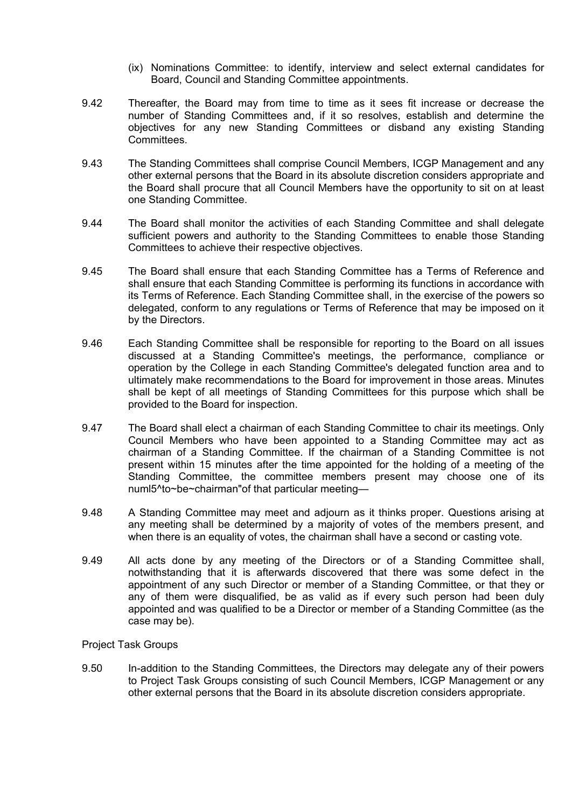- (ix) Nominations Committee: to identify, interview and select external candidates for Board, Council and Standing Committee appointments.
- 9.42 Thereafter, the Board may from time to time as it sees fit increase or decrease the number of Standing Committees and, if it so resolves, establish and determine the objectives for any new Standing Committees or disband any existing Standing Committees.
- 9.43 The Standing Committees shall comprise Council Members, ICGP Management and any other external persons that the Board in its absolute discretion considers appropriate and the Board shall procure that all Council Members have the opportunity to sit on at least one Standing Committee.
- 9.44 The Board shall monitor the activities of each Standing Committee and shall delegate sufficient powers and authority to the Standing Committees to enable those Standing Committees to achieve their respective objectives.
- 9.45 The Board shall ensure that each Standing Committee has a Terms of Reference and shall ensure that each Standing Committee is performing its functions in accordance with its Terms of Reference. Each Standing Committee shall, in the exercise of the powers so delegated, conform to any regulations or Terms of Reference that may be imposed on it by the Directors.
- 9.46 Each Standing Committee shall be responsible for reporting to the Board on all issues discussed at a Standing Committee's meetings, the performance, compliance or operation by the College in each Standing Committee's delegated function area and to ultimately make recommendations to the Board for improvement in those areas. Minutes shall be kept of all meetings of Standing Committees for this purpose which shall be provided to the Board for inspection.
- 9.47 The Board shall elect a chairman of each Standing Committee to chair its meetings. Only Council Members who have been appointed to a Standing Committee may act as chairman of a Standing Committee. If the chairman of a Standing Committee is not present within 15 minutes after the time appointed for the holding of a meeting of the Standing Committee, the committee members present may choose one of its numl5^to~be~chairman"of that particular meeting—
- 9.48 A Standing Committee may meet and adjourn as it thinks proper. Questions arising at any meeting shall be determined by a majority of votes of the members present, and when there is an equality of votes, the chairman shall have a second or casting vote.
- 9.49 All acts done by any meeting of the Directors or of a Standing Committee shall, notwithstanding that it is afterwards discovered that there was some defect in the appointment of any such Director or member of a Standing Committee, or that they or any of them were disqualified, be as valid as if every such person had been duly appointed and was qualified to be a Director or member of a Standing Committee (as the case may be).

Project Task Groups

9.50 In-addition to the Standing Committees, the Directors may delegate any of their powers to Project Task Groups consisting of such Council Members, ICGP Management or any other external persons that the Board in its absolute discretion considers appropriate.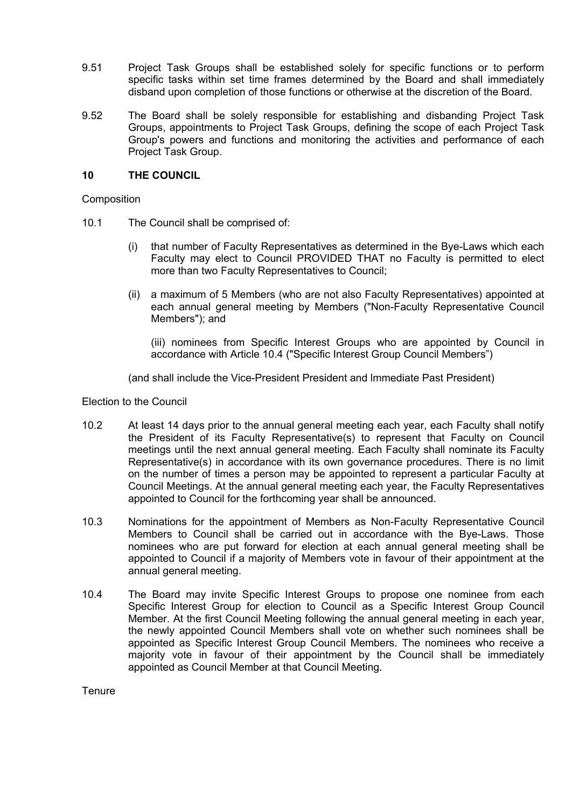- 9.51 Project Task Groups shall be established solely for specific functions or to perform specific tasks within set time frames determined by the Board and shall immediately disband upon completion of those functions or otherwise at the discretion of the Board.
- 9.52 The Board shall be solely responsible for establishing and disbanding Project Task Groups, appointments to Project Task Groups, defining the scope of each Project Task Group's powers and functions and monitoring the activities and performance of each Project Task Group.

## **10 THE COUNCIL**

**Composition** 

- 10.1 The Council shall be comprised of:
	- (i) that number of Faculty Representatives as determined in the Bye-Laws which each Faculty may elect to Council PROVIDED THAT no Faculty is permitted to elect more than two Faculty Representatives to Council;
	- (ii) a maximum of 5 Members (who are not also Faculty Representatives) appointed at each annual general meeting by Members ("Non-Faculty Representative Council Members"); and

(iii) nominees from Specific Interest Groups who are appointed by Council in accordance with Article 10.4 ("Specific Interest Group Council Members")

(and shall include the Vice-President President and lmmediate Past President)

Election to the Council

- 10.2 At least 14 days prior to the annual general meeting each year, each Faculty shall notify the President of its Faculty Representative(s) to represent that Faculty on Council meetings until the next annual general meeting. Each Faculty shall nominate its Faculty Representative(s) in accordance with its own governance procedures. There is no limit on the number of times a person may be appointed to represent a particular Faculty at Council Meetings. At the annual general meeting each year, the Faculty Representatives appointed to Council for the forthcoming year shall be announced.
- 10.3 Nominations for the appointment of Members as Non-Faculty Representative Council Members to Council shall be carried out in accordance with the Bye-Laws. Those nominees who are put forward for election at each annual general meeting shall be appointed to Council if a majority of Members vote in favour of their appointment at the annual general meeting.
- 10.4 The Board may invite Specific Interest Groups to propose one nominee from each Specific Interest Group for election to Council as a Specific Interest Group Council Member. At the first Council Meeting following the annual general meeting in each year, the newly appointed Council Members shall vote on whether such nominees shall be appointed as Specific Interest Group Council Members. The nominees who receive a majority vote in favour of their appointment by the Council shall be immediately appointed as Council Member at that Council Meeting.

**Tenure**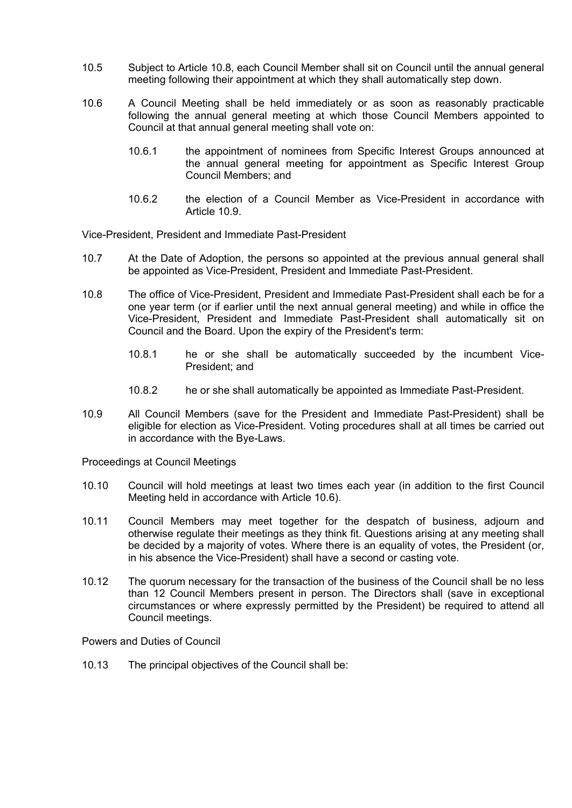- 10.5 Subject to Article 10.8, each Council Member shall sit on Council until the annual general meeting following their appointment at which they shall automatically step down.
- 10.6 A Council Meeting shall be held immediately or as soon as reasonably practicable following the annual general meeting at which those Council Members appointed to Council at that annual general meeting shall vote on:
	- 10.6.1 the appointment of nominees from Specific Interest Groups announced at the annual general meeting for appointment as Specific Interest Group Council Members; and
	- 10.6.2 the election of a Council Member as Vice-President in accordance with Article 10.9.

Vice-President, President and Immediate Past-President

- 10.7 At the Date of Adoption, the persons so appointed at the previous annual general shall be appointed as Vice-President, President and Immediate Past-President.
- 10.8 The office of Vice-President, President and Immediate Past-President shall each be for a one year term (or if earlier until the next annual general meeting) and while in office the Vice-President, President and Immediate Past-President shall automatically sit on Council and the Board. Upon the expiry of the President's term:
	- 10.8.1 he or she shall be automatically succeeded by the incumbent Vice-President; and
	- 10.8.2 he or she shall automatically be appointed as Immediate Past-President.
- 10.9 All Council Members (save for the President and Immediate Past-President) shall be eligible for election as Vice-President. Voting procedures shall at all times be carried out in accordance with the Bye-Laws.

Proceedings at Council Meetings

- 10.10 Council will hold meetings at least two times each year (in addition to the first Council Meeting held in accordance with Article 10.6).
- 10.11 Council Members may meet together for the despatch of business, adjourn and otherwise regulate their meetings as they think fit. Questions arising at any meeting shall be decided by a majority of votes. Where there is an equality of votes, the President (or, in his absence the Vice-President) shall have a second or casting vote.
- 10.12 The quorum necessary for the transaction of the business of the Council shall be no less than 12 Council Members present in person. The Directors shall (save in exceptional circumstances or where expressly permitted by the President) be required to attend all Council meetings.

Powers and Duties of Council

10.13 The principal objectives of the Council shall be: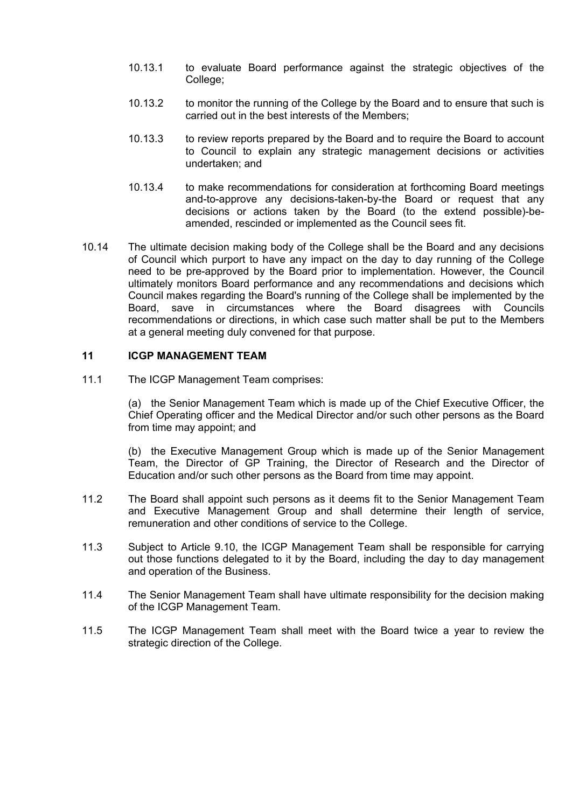- 10.13.1 to evaluate Board performance against the strategic objectives of the College;
- 10.13.2 to monitor the running of the College by the Board and to ensure that such is carried out in the best interests of the Members;
- 10.13.3 to review reports prepared by the Board and to require the Board to account to Council to explain any strategic management decisions or activities undertaken; and
- 10.13.4 to make recommendations for consideration at forthcoming Board meetings and-to-approve any decisions-taken-by-the Board or request that any decisions or actions taken by the Board (to the extend possible)-beamended, rescinded or implemented as the Council sees fit.
- 10.14 The ultimate decision making body of the College shall be the Board and any decisions of Council which purport to have any impact on the day to day running of the College need to be pre-approved by the Board prior to implementation. However, the Council ultimately monitors Board performance and any recommendations and decisions which Council makes regarding the Board's running of the College shall be implemented by the Board, save in circumstances where the Board disagrees with Councils recommendations or directions, in which case such matter shall be put to the Members at a general meeting duly convened for that purpose.

## **11 ICGP MANAGEMENT TEAM**

11.1 The ICGP Management Team comprises:

(a) the Senior Management Team which is made up of the Chief Executive Officer, the Chief Operating officer and the Medical Director and/or such other persons as the Board from time may appoint; and

(b) the Executive Management Group which is made up of the Senior Management Team, the Director of GP Training, the Director of Research and the Director of Education and/or such other persons as the Board from time may appoint.

- 11.2 The Board shall appoint such persons as it deems fit to the Senior Management Team and Executive Management Group and shall determine their length of service, remuneration and other conditions of service to the College.
- 11.3 Subject to Article 9.10, the ICGP Management Team shall be responsible for carrying out those functions delegated to it by the Board, including the day to day management and operation of the Business.
- 11.4 The Senior Management Team shall have ultimate responsibility for the decision making of the ICGP Management Team.
- 11.5 The ICGP Management Team shall meet with the Board twice a year to review the strategic direction of the College.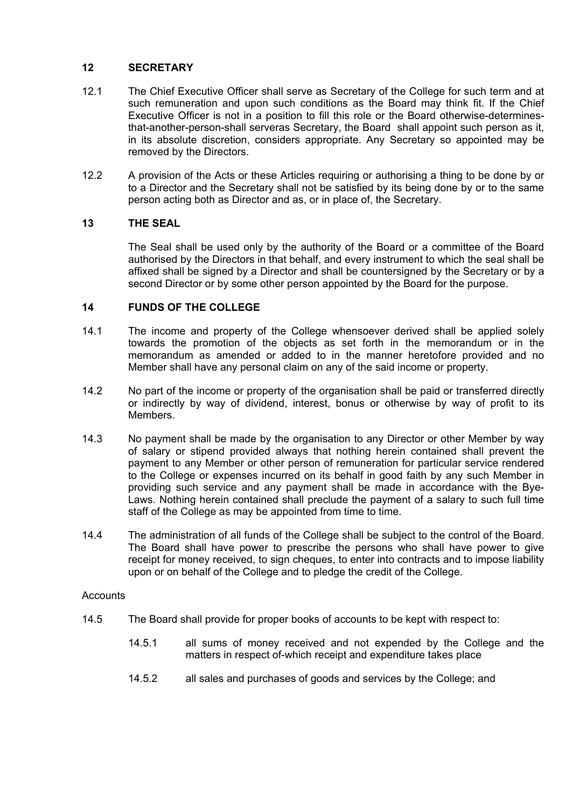# **12 SECRETARY**

- 12.1 The Chief Executive Officer shall serve as Secretary of the College for such term and at such remuneration and upon such conditions as the Board may think fit. If the Chief Executive Officer is not in a position to fill this role or the Board otherwise-determinesthat-another-person-shall serveras Secretary, the Board shall appoint such person as it, in its absolute discretion, considers appropriate. Any Secretary so appointed may be removed by the Directors.
- 12.2 A provision of the Acts or these Articles requiring or authorising a thing to be done by or to a Director and the Secretary shall not be satisfied by its being done by or to the same person acting both as Director and as, or in place of, the Secretary.

# **13 THE SEAL**

The Seal shall be used only by the authority of the Board or a committee of the Board authorised by the Directors in that behalf, and every instrument to which the seal shall be affixed shall be signed by a Director and shall be countersigned by the Secretary or by a second Director or by some other person appointed by the Board for the purpose.

## **14 FUNDS OF THE COLLEGE**

- 14.1 The income and property of the College whensoever derived shall be applied solely towards the promotion of the objects as set forth in the memorandum or in the memorandum as amended or added to in the manner heretofore provided and no Member shall have any personal claim on any of the said income or property.
- 14.2 No part of the income or property of the organisation shall be paid or transferred directly or indirectly by way of dividend, interest, bonus or otherwise by way of profit to its Members.
- 14.3 No payment shall be made by the organisation to any Director or other Member by way of salary or stipend provided always that nothing herein contained shall prevent the payment to any Member or other person of remuneration for particular service rendered to the College or expenses incurred on its behalf in good faith by any such Member in providing such service and any payment shall be made in accordance with the Bye-Laws. Nothing herein contained shall preclude the payment of a salary to such full time staff of the College as may be appointed from time to time.
- 14.4 The administration of all funds of the College shall be subject to the control of the Board. The Board shall have power to prescribe the persons who shall have power to give receipt for money received, to sign cheques, to enter into contracts and to impose liability upon or on behalf of the College and to pledge the credit of the College.

### **Accounts**

- 14.5 The Board shall provide for proper books of accounts to be kept with respect to:
	- 14.5.1 all sums of money received and not expended by the College and the matters in respect of-which receipt and expenditure takes place
	- 14.5.2 all sales and purchases of goods and services by the College; and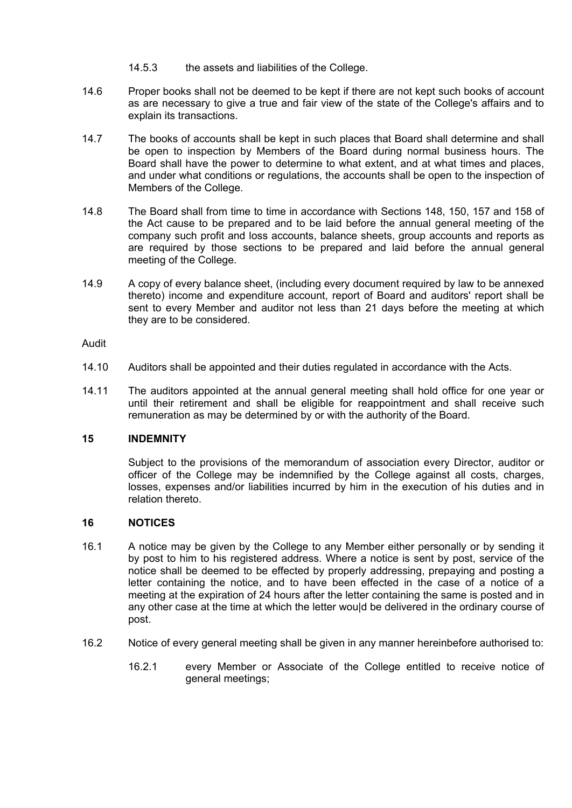- 14.5.3 the assets and liabilities of the College.
- 14.6 Proper books shall not be deemed to be kept if there are not kept such books of account as are necessary to give a true and fair view of the state of the College's affairs and to explain its transactions.
- 14.7 The books of accounts shall be kept in such places that Board shall determine and shall be open to inspection by Members of the Board during normal business hours. The Board shall have the power to determine to what extent, and at what times and places, and under what conditions or regulations, the accounts shall be open to the inspection of Members of the College.
- 14.8 The Board shall from time to time in accordance with Sections 148, 150, 157 and 158 of the Act cause to be prepared and to be laid before the annual general meeting of the company such profit and loss accounts, balance sheets, group accounts and reports as are required by those sections to be prepared and laid before the annual general meeting of the College.
- 14.9 A copy of every balance sheet, (including every document required by law to be annexed thereto) income and expenditure account, report of Board and auditors' report shall be sent to every Member and auditor not less than 21 days before the meeting at which they are to be considered.

Audit

- 14.10 Auditors shall be appointed and their duties regulated in accordance with the Acts.
- 14.11 The auditors appointed at the annual general meeting shall hold office for one year or until their retirement and shall be eligible for reappointment and shall receive such remuneration as may be determined by or with the authority of the Board.

# **15 INDEMNITY**

Subject to the provisions of the memorandum of association every Director, auditor or officer of the College may be indemnified by the College against all costs, charges, losses, expenses and/or liabilities incurred by him in the execution of his duties and in relation thereto.

# **16 NOTICES**

- 16.1 A notice may be given by the College to any Member either personally or by sending it by post to him to his registered address. Where a notice is sent by post, service of the notice shall be deemed to be effected by properly addressing, prepaying and posting a letter containing the notice, and to have been effected in the case of a notice of a meeting at the expiration of 24 hours after the letter containing the same is posted and in any other case at the time at which the letter wou|d be delivered in the ordinary course of post.
- 16.2 Notice of every general meeting shall be given in any manner hereinbefore authorised to:
	- 16.2.1 every Member or Associate of the College entitled to receive notice of general meetings;